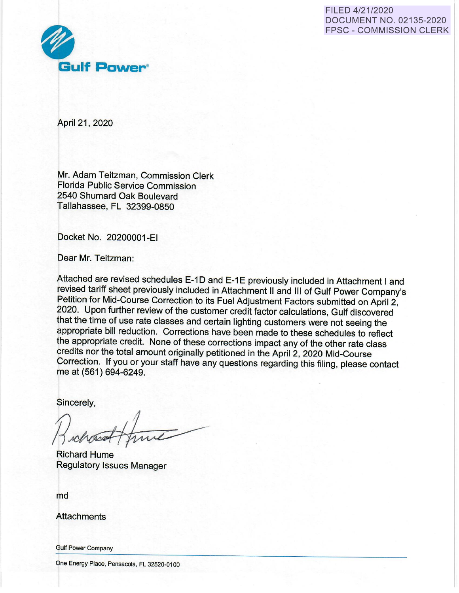### FILED 4/21/2020 DOCUMENT NO. 02135-2020 FPSC - COMMISSION CLERK



April 21, 2020

Mr. Adam Teitzman, Commission Clerk Florida Public Service Commission 2540 Shumard Oak Boulevard Tallahassee, FL 32399-0850

Docket No. 20200001-EI

Dear Mr. Teitzman:

Attached are revised schedules E-1D and E-1E previously included in Attachment I and revised tariff sheet previously included in Attachment II and Ill of Gulf Power Company's Petition for Mid-Course Correction to its Fuel Adjustment Factors submitted on April 2, 2020. Upon further review of the customer credit factor calculations, Gulf discovered that the time of use rate classes and certain lighting customers were not seeing the appropriate bill reduction. Corrections have been made to these schedules to reflect the appropriate credit. None of these corrections impact any of the other rate class credits nor the total amount originally petitioned in the April 2, 2020 Mid-Course Correction. If you or your staff have any questions regarding this filing, please contact me at (561) 694-6249.

Sincerely,

Richard Hume Regulatory Issues Manager

md

**Attachments** 

Gulf Power Company

One Energy Place, Pensacola, FL 32520-0100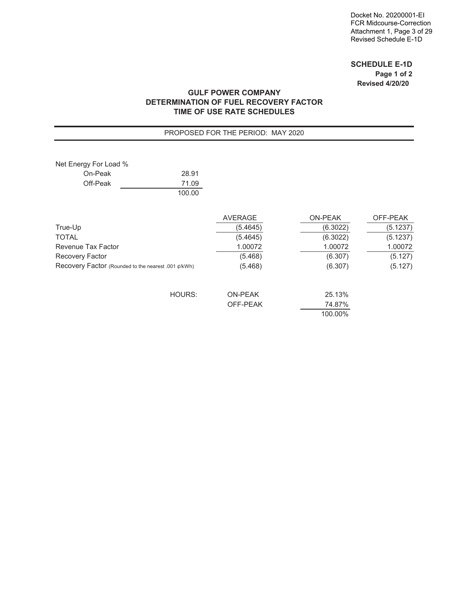### **SCHEDULE E-1D Page 1 of 2 Revised 4/20/20**

### **GULF POWER COMPANY DETERMINATION OF FUEL RECOVERY FACTOR TIME OF USE RATE SCHEDULES**

#### PROPOSED FOR THE PERIOD: MAY 2020

| Net Energy For Load %                               |        |                |                |          |
|-----------------------------------------------------|--------|----------------|----------------|----------|
| On-Peak                                             | 28.91  |                |                |          |
| Off-Peak                                            | 71.09  |                |                |          |
|                                                     | 100.00 |                |                |          |
|                                                     |        | <b>AVERAGE</b> | <b>ON-PEAK</b> | OFF-PEAK |
| True-Up                                             |        | (5.4645)       | (6.3022)       | (5.1237) |
| TOTAL                                               |        | (5.4645)       | (6.3022)       | (5.1237) |
| Revenue Tax Factor                                  |        | 1.00072        | 1.00072        | 1.00072  |
| Recovery Factor                                     |        | (5.468)        | (6.307)        | (5.127)  |
| Recovery Factor (Rounded to the nearest .001 ¢/kWh) |        | (5.468)        | (6.307)        | (5.127)  |
|                                                     | HOURS: | <b>ON-PEAK</b> | 25.13%         |          |
|                                                     |        | OFF-PEAK       | 74.87%         |          |
|                                                     |        |                | 100.00%        |          |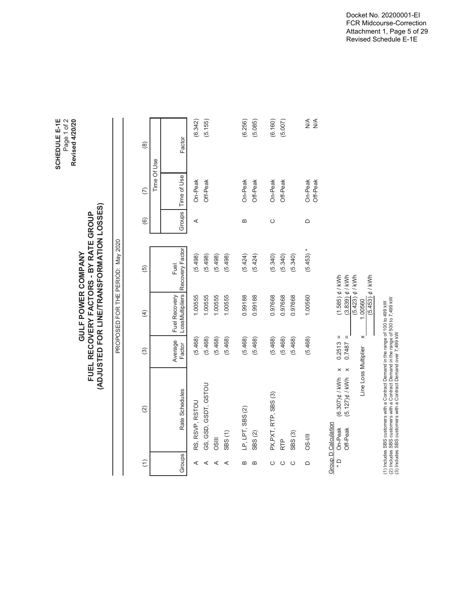|               |                            |                          |                                            |                                  | (ADJUSTED FOR LINE/TRANSFORMATION LOSSES)<br>FUEL RECOVERY FACTORS - BY RATE GROUP |               |                     |                                               |
|---------------|----------------------------|--------------------------|--------------------------------------------|----------------------------------|------------------------------------------------------------------------------------|---------------|---------------------|-----------------------------------------------|
|               |                            |                          |                                            |                                  | PROPOSED FOR THE PERIOD: May 2020                                                  |               |                     |                                               |
| $\widehat{E}$ |                            | $\widehat{2}$            | $\widehat{\mathcal{E}}$                    | $\overline{4}$                   | 6)                                                                                 | $\widehat{e}$ | $\widehat{C}$       | $\circledR$                                   |
|               |                            |                          |                                            |                                  |                                                                                    |               | Time Of Use         |                                               |
| Groups        |                            | Rate Schedules           | Average<br>Factor                          | LossMultipliers<br>Fuel Recovery | Recovery Factor<br>Fuel                                                            | Groups        | Time of Use         | Factor                                        |
| ⋖             | RS, RSVP, RSTOU            |                          | (5.468)                                    | 1.00555                          | (5.498)                                                                            | ⋖             | On-Peak             | (6.342)                                       |
| ⋖             |                            | GS, GSD, GSDT, GSTOU     | (5.468)                                    | 1.00555                          | (5.498)                                                                            |               | Off-Peak            | (5.155)                                       |
| ⋖             | OSIII                      |                          | (5.468)                                    | 1.00555                          | (5.498)                                                                            |               |                     |                                               |
| ⋖             | SBS(1)                     |                          | (5.468)                                    | 1.00555                          | (5.498)                                                                            |               |                     |                                               |
| $\mathbf{a}$  | LP, LPT, SBS (2)           |                          | (5.468)                                    | 0.99188                          | (5.424)                                                                            | $\mathbf{a}$  | On-Peak             | (6.256)                                       |
| Б             | SBS <sub>(2)</sub>         |                          | (5.468)                                    | 0.99188                          | (5.424)                                                                            |               | Off-Peak            | (5.085)                                       |
| ပ             | PX, PXT, RTP, SBS (3)      |                          | (5.468)                                    | 0.97668                          | (5.340)                                                                            | $\circ$       | On-Peak             | (6.160)                                       |
| ပ             | <b>RTP</b>                 |                          | (5.468)                                    | 0.97668                          | (5.340)                                                                            |               | Off-Peak            | (5.007)                                       |
| ပ             | SBS <sub>(3)</sub>         |                          | (5.468)                                    | 0.97668                          | (5.340)                                                                            |               |                     |                                               |
| $\Omega$      | <b>DS-I/II</b>             |                          | (5.468)                                    | 1.00560                          | $(5.453) *$                                                                        | $\Omega$      | On-Peak<br>Off-Peak | $\frac{4}{5}$<br>$\stackrel{\triangle}{\geq}$ |
|               | <b>Group D Calculation</b> |                          |                                            |                                  |                                                                                    |               |                     |                                               |
| $\frac{1}{x}$ | On-Peak                    | $(6.307)$ $\sharp$ / kWh | $\mathbf{I}$<br>0.2513<br>×                | $(1.585)$ $\phi$ / kWh           |                                                                                    |               |                     |                                               |
|               | Off-Peak                   | $(5.127)$ $\sharp$ / kWh | $\, \parallel$<br>0.7487<br>$\pmb{\times}$ | $(3.839)$ $\phi$ / kWh           |                                                                                    |               |                     |                                               |
|               |                            | Line Loss Multiplier     | $\times$                                   | $(5.423)$ ¢ / kWh<br>1.00560     |                                                                                    |               |                     |                                               |
|               |                            |                          |                                            | $(5.453)$ ¢ / kWh                |                                                                                    |               |                     |                                               |

SCHEDULE E-1E<br>Page 1 of 2<br>Revised 4/20/20 **SCHEDULE E-1E** Page 1 of 2 **Revised 4/20/20**

> **GULF POWER COMPANY FUEL RECOVERY FACTORS - BY RATE GROUP**

**GULF POWER COMPANY** 

Docket No. 20200001-EI FCR Midcourse-Correction Attachment 1, Page 5 of 29 Revised Schedule E-1E

(1) Includes SBS customers with a Contract Demand in the range of 100 to 499 kW (2) Includes SBS customers with a Contract Demand in the range of 500 to 7,499 kW

(1) Includes SBS customers with a Contract Demand in the range of 100 to 499 kW<br>(2) Includes SBS customers with a Contract Demand in the range of 500 to 7,499 kW<br>(3) Includes SBS customers with a Contract Demand over 7,499

(3) Includes SBS customers with a Contract Demand over 7,499 kW

I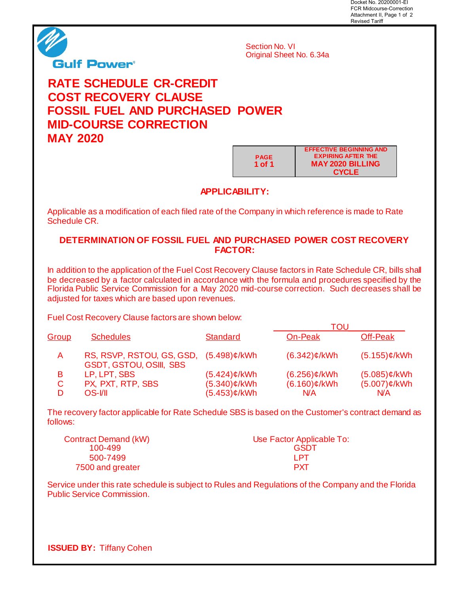Docket No. 20200001-EI FCR Midcourse-Correction Attachment II, Page 1 of 2 Revised Tariff



Section No. VI Original Sheet No. 6.34a

# **RATE SCHEDULE CR-CREDIT COST RECOVERY CLAUSE FOSSIL FUEL AND PURCHASED POWER MID-COURSE CORRECTION MAY 2020**

**PAGE 1 of 1 EFFECTIVE BEGINNING AND EXPIRING AFTER THE MAY 2020 BILLING CYCLE**

## **APPLICABILITY:**

Applicable as a modification of each filed rate of the Company in which reference is made to Rate Schedule CR.

## **DETERMINATION OF FOSSIL FUEL AND PURCHASED POWER COST RECOVERY FACTOR:**

In addition to the application of the Fuel Cost Recovery Clause factors in Rate Schedule CR, bills shall be decreased by a factor calculated in accordance with the formula and procedures specified by the Florida Public Service Commission for a May 2020 mid-course correction. Such decreases shall be adjusted for taxes which are based upon revenues.

Fuel Cost Recovery Clause factors are shown below:

|       |                                                                          |                 | TOL.            |                 |
|-------|--------------------------------------------------------------------------|-----------------|-----------------|-----------------|
| Group | <b>Schedules</b>                                                         | <b>Standard</b> | On-Peak         | Off-Peak        |
| A     | RS, RSVP, RSTOU, GS, GSD, (5.498)¢/kWh<br><b>GSDT, GSTOU, OSIII, SBS</b> |                 | $(6.342)$ ¢/kWh | $(5.155)$ ¢/kWh |
| В     | LP, LPT, SBS                                                             | $(5.424)$ ¢/kWh | $(6.256)$ ¢/kWh | $(5.085)$ ¢/kWh |
| C     | PX, PXT, RTP, SBS                                                        | $(5.340)$ ¢/kWh | $(6.160)$ ¢/kWh | $(5.007)$ ¢/kWh |
| D     | OS-VII                                                                   | $(5.453)$ ¢/kWh | N/A             | N/A             |

The recovery factor applicable for Rate Schedule SBS is based on the Customer's contract demand as follows:

| <b>Contract Demand (kW)</b> | Use Factor Applicable To: |
|-----------------------------|---------------------------|
| 100-499                     | <b>GSDT</b>               |
| 500-7499                    | I PT                      |
| 7500 and greater            | <b>PXT</b>                |

Service under this rate schedule is subject to Rules and Regulations of the Company and the Florida Public Service Commission.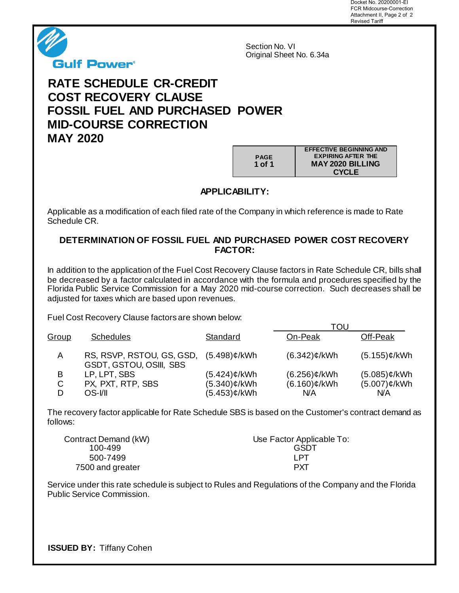Docket No. 20200001-EI FCR Midcourse-Correction Attachment II, Page 2 of 2 Revised Tariff



Section No. VI Original Sheet No. 6.34a

# **RATE SCHEDULE CR-CREDIT COST RECOVERY CLAUSE FOSSIL FUEL AND PURCHASED POWER MID-COURSE CORRECTION MAY 2020**

**PAGE 1 of 1 EFFECTIVE BEGINNING AND EXPIRING AFTER THE MAY 2020 BILLING CYCLE**

**APPLICABILITY:**

Applicable as a modification of each filed rate of the Company in which reference is made to Rate Schedule CR.

## **DETERMINATION OF FOSSIL FUEL AND PURCHASED POWER COST RECOVERY FACTOR:**

In addition to the application of the Fuel Cost Recovery Clause factors in Rate Schedule CR, bills shall be decreased by a factor calculated in accordance with the formula and procedures specified by the Florida Public Service Commission for a May 2020 mid-course correction. Such decreases shall be adjusted for taxes which are based upon revenues.

Fuel Cost Recovery Clause factors are shown below:

|              |                                                             |                 | TOU             |                 |
|--------------|-------------------------------------------------------------|-----------------|-----------------|-----------------|
| <u>Group</u> | <b>Schedules</b>                                            | Standard        | On-Peak         | Off-Peak        |
| A            | RS, RSVP, RSTOU, GS, GSD,<br><b>GSDT, GSTOU, OSIII, SBS</b> | $(5.498)$ ¢/kWh | $(6.342)$ ¢/kWh | $(5.155)$ ¢/kWh |
| B            | LP, LPT, SBS                                                | (5.424)¢/kWh    | $(6.256)$ ¢/kWh | $(5.085)$ ¢/kWh |
| C            | PX, PXT, RTP, SBS                                           | (5.340)¢/kWh    | $(6.160)$ ¢/kWh | $(5.007)$ ¢/kWh |
| D            | OS-I/II                                                     | (5.453)¢/kWh    | N/A             | N/A             |

The recovery factor applicable for Rate Schedule SBS is based on the Customer's contract demand as follows:

| Contract Demand (kW) | Use Factor Applicable To: |
|----------------------|---------------------------|
| 100-499              | <b>GSDT</b>               |
| 500-7499             | I PT                      |
| 7500 and greater     | <b>PXT</b>                |

Service under this rate schedule is subject to Rules and Regulations of the Company and the Florida Public Service Commission.

**ISSUED BY:** Tiffany Cohen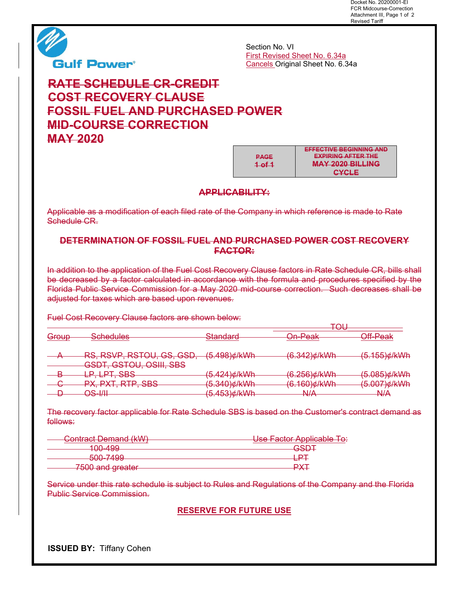Docket No. 20200001-EI FCR Midcourse-Correction Attachment III, Page 1 of 2 Revised Tariff



**Gulf Power®** 

Section No. VI First Revised Sheet No. 6.34a Cancels Original Sheet No. 6.34a

# **RATE SCHEDULE CR-CREDIT COST RECOVERY CLAUSE FOSSIL FUEL AND PURCHASED POWER MID-COURSE CORRECTION MAY 2020**

**PAGE 1 of 1**

**EFFECTIVE BEGINNING AND EXPIRING AFTER THE MAY 2020 BILLING CYCLE** 

### **APPLICABILITY:**

Applicable as a modification of each filed rate of the Company in which reference is made to Rate Schedule CR.

## **DETERMINATION OF FOSSIL FUEL AND PURCHASED POWER COST RECOVERY FACTOR:**

In addition to the application of the Fuel Cost Recovery Clause factors in Rate Schedule CR, bills shall be decreased by a factor calculated in accordance with the formula and procedures specified by the Florida Public Service Commission for a May 2020 mid-course correction. Such decreases shall be adjusted for taxes which are based upon revenues.

Fuel Cost Recovery Clause factors are shown below:

|                 |                                                                                                      |                                                   | וחד<br>᠇ᠣᠣ                                                      |                          |
|-----------------|------------------------------------------------------------------------------------------------------|---------------------------------------------------|-----------------------------------------------------------------|--------------------------|
| $C$ roun        | Schedules                                                                                            | Standard                                          | ∩n Daak                                                         | ∩ff_Daak                 |
| <del>alan</del> | <del>oonoaaroo</del>                                                                                 | जस्वा खेळा ज                                      | <del>omn oan</del>                                              | <del>om roan</del>       |
|                 | DE DEUD DETAIL LE LEF<br><del>110, 11011 , 1101 00, 00, 000,</del><br><b>GSDT, GSTOU, OSIII, SBS</b> | $(5.198)$ d/k $101$ h<br><del>וועושן טטד.ט.</del> | $(A 312)$ d $N$<br>$\sigma$ . $\sigma$ - $\sigma$ $\mu$ inverse | (5.155)¢/kWh             |
| Б               | IDT CDC                                                                                              | パス オウオキルハルト                                       | $(A \cap R) \neq (k \setminus R)$                               | <u>(5 NR5) a IIcinih</u> |
|                 | <del>- - - - - - - - - - - -</del>                                                                   | <del>וויטווען ד∠ד.ט</del>                         | <del>0.200 jymvuli</del>                                        | <del>0.000/ymvni</del>   |
| o               | DTD CRC<br>DV.<br>DVT                                                                                | パス タイのいん ルハハル                                     | $($ 4 AN) $\lambda$ / $\lambda$ / $\lambda$ / $\lambda$         | (5 NN7) <i>d</i> /k)Nh   |
|                 | 17,17,1,1,1,1,000                                                                                    | <del>סדט.ט ווא</del>                              | $\sigma$ . 100 jyrili vili                                      | <del>o.oor jy/rwni</del> |
|                 | וווו ⊃∩                                                                                              | (5 A53)よルハルト                                      | <b>NI/A</b>                                                     | N/L                      |
|                 |                                                                                                      | <del>, דטטן אווען סטד.</del>                      | ᠇᠊ᠬ᠇                                                            | ᠇᠊ᡃᠬ᠇                    |

The recovery factor applicable for Rate Schedule SBS is based on the Customer's contract demand as follows:

| Contract Demand (kW)<br><del>oontraot Domand (KW)</del> | Use Factor Applicable To: |
|---------------------------------------------------------|---------------------------|
| ᠇ᠣᠣ᠊᠇ᠣᠣ                                                 | rent<br>₩₩                |
| EOO 7400<br><del>000 1 100</del>                        |                           |
| 7500 and areater<br><del>Tooo and greater</del>         |                           |

Service under this rate schedule is subject to Rules and Regulations of the Company and the Florida Public Service Commission.

### **RESERVE FOR FUTURE USE**

**ISSUED BY:** Tiffany Cohen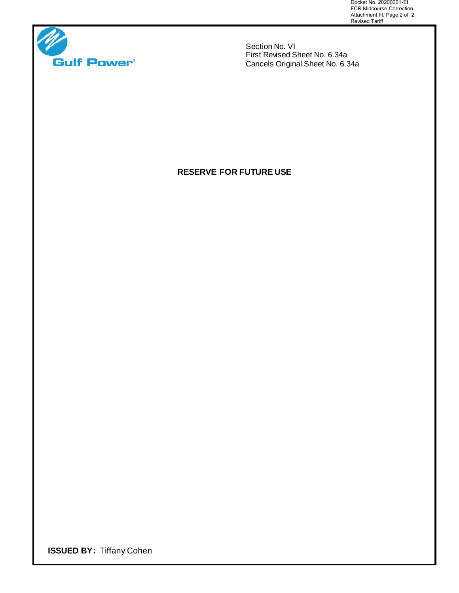Docket No. 20200001-EI FCR Midcourse-Correction Attachment III, Page 2 of 2 Revised Tariff



Section No. VI First Revised Sheet No. 6.34a Cancels Original Sheet No. 6.34a

# **RESERVE FOR FUTURE USE**

**ISSUED BY:** Tiffany Cohen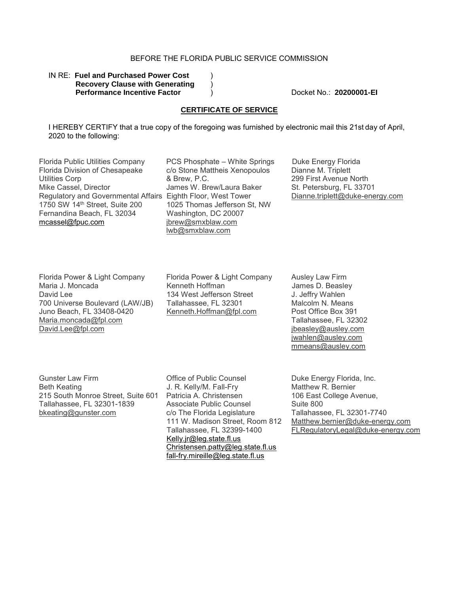### BEFORE THE FLORIDA PUBLIC SERVICE COMMISSION

#### IN RE: Fuel and Purchased Power Cost **Recovery Clause with Generating** ) **Performance Incentive Factor** (a) Docket No.: **20200001-EI**

#### **CERTIFICATE OF SERVICE**

I HEREBY CERTIFY that a true copy of the foregoing was furnished by electronic mail this 21st day of April, 2020 to the following:

Florida Public Utilities Company Florida Division of Chesapeake Utilities Corp Mike Cassel, Director Regulatory and Governmental Affairs Eighth Floor, West Tower 1750 SW 14th Street, Suite 200 Fernandina Beach, FL 32034 mcassel@fpuc.com

PCS Phosphate – White Springs c/o Stone Mattheis Xenopoulos & Brew, P.C. James W. Brew/Laura Baker 1025 Thomas Jefferson St, NW Washington, DC 20007 jbrew@smxblaw.com lwb@smxblaw.com

Duke Energy Florida Dianne M. Triplett 299 First Avenue North St. Petersburg, FL 33701 Dianne.triplett@duke-energy.com

Florida Power & Light Company Maria J. Moncada David Lee 700 Universe Boulevard (LAW/JB) Juno Beach, FL 33408-0420 Maria.moncada@fpl.com David.Lee@fpl.com

Florida Power & Light Company Kenneth Hoffman 134 West Jefferson Street Tallahassee, FL 32301 Kenneth.Hoffman@fpl.com

Ausley Law Firm JJames D. Beasley J. Jeffry Wahlen Malcolm N. Means Post Office Box 391 Tallahassee, FL 32302 jbeasley@ausley.com jwahlen@ausley.com mmeans@ausley.com

Gunster Law Firm Beth Keating 215 South Monroe Street, Suite 601 Tallahassee, FL 32301-1839 bkeating@gunster.com

Office of Public Counsel J. R. Kelly/M. Fall-Fry Patricia A. Christensen Associate Public Counsel c/o The Florida Legislature 111 W. Madison Street, Room 812 Tallahassee, FL 32399-1400 Kelly.jr@leg.state.fl.us Christensen.patty@leg.state.fl.us fall-fry.mireille@leg.state.fl.us

Duke Energy Florida, Inc. Matthew R. Bernier 106 East College Avenue, Suite 800 Tallahassee, FL 32301-7740 Matthew.bernier@duke-energy.com FLRegulatoryLegal@duke-energy.com